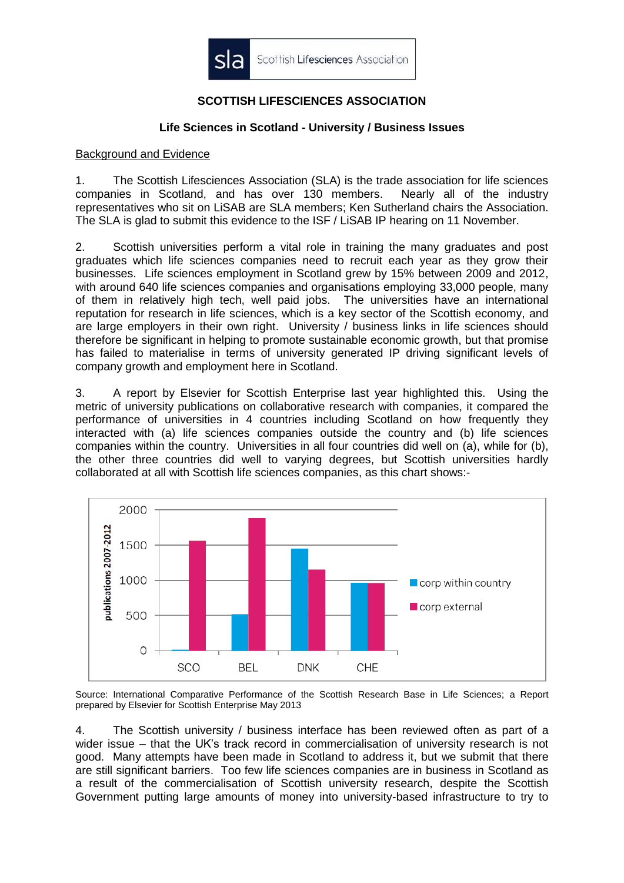

# **SCOTTISH LIFESCIENCES ASSOCIATION**

### **Life Sciences in Scotland - University / Business Issues**

#### Background and Evidence

1. The Scottish Lifesciences Association (SLA) is the trade association for life sciences companies in Scotland, and has over 130 members. Nearly all of the industry representatives who sit on LiSAB are SLA members; Ken Sutherland chairs the Association. The SLA is glad to submit this evidence to the ISF / LiSAB IP hearing on 11 November.

2. Scottish universities perform a vital role in training the many graduates and post graduates which life sciences companies need to recruit each year as they grow their businesses. Life sciences employment in Scotland grew by 15% between 2009 and 2012, with around 640 life sciences companies and organisations employing 33,000 people, many of them in relatively high tech, well paid jobs. The universities have an international reputation for research in life sciences, which is a key sector of the Scottish economy, and are large employers in their own right. University / business links in life sciences should therefore be significant in helping to promote sustainable economic growth, but that promise has failed to materialise in terms of university generated IP driving significant levels of company growth and employment here in Scotland.

3. A report by Elsevier for Scottish Enterprise last year highlighted this. Using the metric of university publications on collaborative research with companies, it compared the performance of universities in 4 countries including Scotland on how frequently they interacted with (a) life sciences companies outside the country and (b) life sciences companies within the country. Universities in all four countries did well on (a), while for (b), the other three countries did well to varying degrees, but Scottish universities hardly collaborated at all with Scottish life sciences companies, as this chart shows:-



Source: International Comparative Performance of the Scottish Research Base in Life Sciences; a Report prepared by Elsevier for Scottish Enterprise May 2013

4. The Scottish university / business interface has been reviewed often as part of a wider issue – that the UK's track record in commercialisation of university research is not good. Many attempts have been made in Scotland to address it, but we submit that there are still significant barriers. Too few life sciences companies are in business in Scotland as a result of the commercialisation of Scottish university research, despite the Scottish Government putting large amounts of money into university-based infrastructure to try to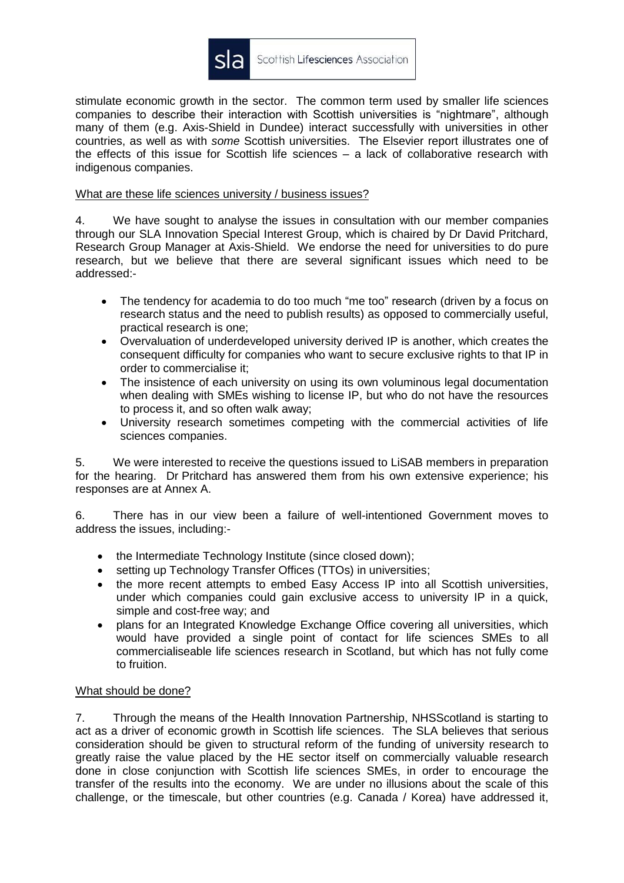

stimulate economic growth in the sector. The common term used by smaller life sciences companies to describe their interaction with Scottish universities is "nightmare", although many of them (e.g. Axis-Shield in Dundee) interact successfully with universities in other countries, as well as with *some* Scottish universities. The Elsevier report illustrates one of the effects of this issue for Scottish life sciences – a lack of collaborative research with indigenous companies.

#### What are these life sciences university / business issues?

4. We have sought to analyse the issues in consultation with our member companies through our SLA Innovation Special Interest Group, which is chaired by Dr David Pritchard, Research Group Manager at Axis-Shield. We endorse the need for universities to do pure research, but we believe that there are several significant issues which need to be addressed:-

- The tendency for academia to do too much "me too" research (driven by a focus on research status and the need to publish results) as opposed to commercially useful, practical research is one;
- Overvaluation of underdeveloped university derived IP is another, which creates the consequent difficulty for companies who want to secure exclusive rights to that IP in order to commercialise it;
- The insistence of each university on using its own voluminous legal documentation when dealing with SMEs wishing to license IP, but who do not have the resources to process it, and so often walk away;
- University research sometimes competing with the commercial activities of life sciences companies.

5. We were interested to receive the questions issued to LiSAB members in preparation for the hearing. Dr Pritchard has answered them from his own extensive experience; his responses are at Annex A.

6. There has in our view been a failure of well-intentioned Government moves to address the issues, including:-

- the Intermediate Technology Institute (since closed down);
- setting up Technology Transfer Offices (TTOs) in universities:
- the more recent attempts to embed Easy Access IP into all Scottish universities, under which companies could gain exclusive access to university IP in a quick, simple and cost-free way; and
- plans for an Integrated Knowledge Exchange Office covering all universities, which would have provided a single point of contact for life sciences SMEs to all commercialiseable life sciences research in Scotland, but which has not fully come to fruition.

#### What should be done?

7. Through the means of the Health Innovation Partnership, NHSScotland is starting to act as a driver of economic growth in Scottish life sciences. The SLA believes that serious consideration should be given to structural reform of the funding of university research to greatly raise the value placed by the HE sector itself on commercially valuable research done in close conjunction with Scottish life sciences SMEs, in order to encourage the transfer of the results into the economy. We are under no illusions about the scale of this challenge, or the timescale, but other countries (e.g. Canada / Korea) have addressed it,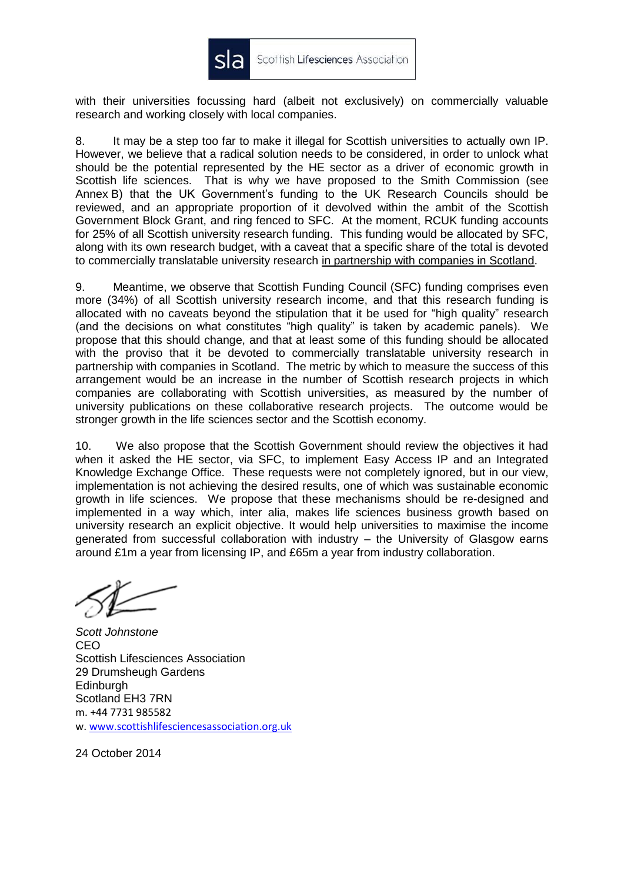

with their universities focussing hard (albeit not exclusively) on commercially valuable research and working closely with local companies.

8. It may be a step too far to make it illegal for Scottish universities to actually own IP. However, we believe that a radical solution needs to be considered, in order to unlock what should be the potential represented by the HE sector as a driver of economic growth in Scottish life sciences. That is why we have proposed to the Smith Commission (see Annex B) that the UK Government's funding to the UK Research Councils should be reviewed, and an appropriate proportion of it devolved within the ambit of the Scottish Government Block Grant, and ring fenced to SFC. At the moment, RCUK funding accounts for 25% of all Scottish university research funding. This funding would be allocated by SFC, along with its own research budget, with a caveat that a specific share of the total is devoted to commercially translatable university research in partnership with companies in Scotland.

9. Meantime, we observe that Scottish Funding Council (SFC) funding comprises even more (34%) of all Scottish university research income, and that this research funding is allocated with no caveats beyond the stipulation that it be used for "high quality" research (and the decisions on what constitutes "high quality" is taken by academic panels). We propose that this should change, and that at least some of this funding should be allocated with the proviso that it be devoted to commercially translatable university research in partnership with companies in Scotland. The metric by which to measure the success of this arrangement would be an increase in the number of Scottish research projects in which companies are collaborating with Scottish universities, as measured by the number of university publications on these collaborative research projects. The outcome would be stronger growth in the life sciences sector and the Scottish economy.

10. We also propose that the Scottish Government should review the objectives it had when it asked the HE sector, via SFC, to implement Easy Access IP and an Integrated Knowledge Exchange Office. These requests were not completely ignored, but in our view, implementation is not achieving the desired results, one of which was sustainable economic growth in life sciences. We propose that these mechanisms should be re-designed and implemented in a way which, inter alia, makes life sciences business growth based on university research an explicit objective. It would help universities to maximise the income generated from successful collaboration with industry – the University of Glasgow earns around £1m a year from licensing IP, and £65m a year from industry collaboration.

*Scott Johnstone* CEO Scottish Lifesciences Association 29 Drumsheugh Gardens **Edinburgh** Scotland EH3 7RN m. +44 7731 985582 w. [www.scottishlifesciencesassociation.org.uk](http://www.scottishlifesciencesassociation.org.uk/)

24 October 2014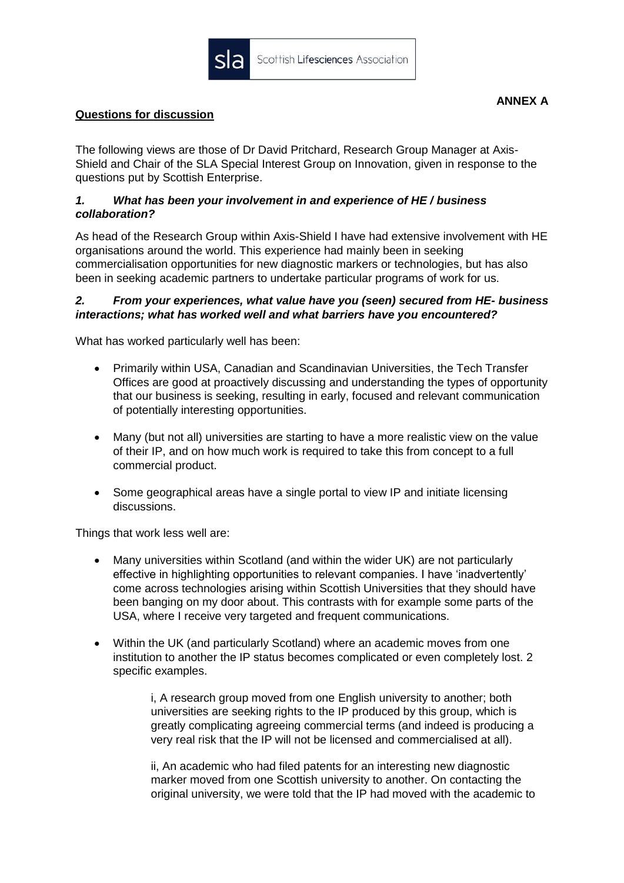

The following views are those of Dr David Pritchard, Research Group Manager at Axis-Shield and Chair of the SLA Special Interest Group on Innovation, given in response to the questions put by Scottish Enterprise.

# *1. What has been your involvement in and experience of HE / business collaboration?*

As head of the Research Group within Axis-Shield I have had extensive involvement with HE organisations around the world. This experience had mainly been in seeking commercialisation opportunities for new diagnostic markers or technologies, but has also been in seeking academic partners to undertake particular programs of work for us.

# *2. From your experiences, what value have you (seen) secured from HE- business interactions; what has worked well and what barriers have you encountered?*

What has worked particularly well has been:

- Primarily within USA, Canadian and Scandinavian Universities, the Tech Transfer Offices are good at proactively discussing and understanding the types of opportunity that our business is seeking, resulting in early, focused and relevant communication of potentially interesting opportunities.
- Many (but not all) universities are starting to have a more realistic view on the value of their IP, and on how much work is required to take this from concept to a full commercial product.
- Some geographical areas have a single portal to view IP and initiate licensing discussions.

Things that work less well are:

- Many universities within Scotland (and within the wider UK) are not particularly effective in highlighting opportunities to relevant companies. I have 'inadvertently' come across technologies arising within Scottish Universities that they should have been banging on my door about. This contrasts with for example some parts of the USA, where I receive very targeted and frequent communications.
- Within the UK (and particularly Scotland) where an academic moves from one institution to another the IP status becomes complicated or even completely lost. 2 specific examples.

i, A research group moved from one English university to another; both universities are seeking rights to the IP produced by this group, which is greatly complicating agreeing commercial terms (and indeed is producing a very real risk that the IP will not be licensed and commercialised at all).

ii, An academic who had filed patents for an interesting new diagnostic marker moved from one Scottish university to another. On contacting the original university, we were told that the IP had moved with the academic to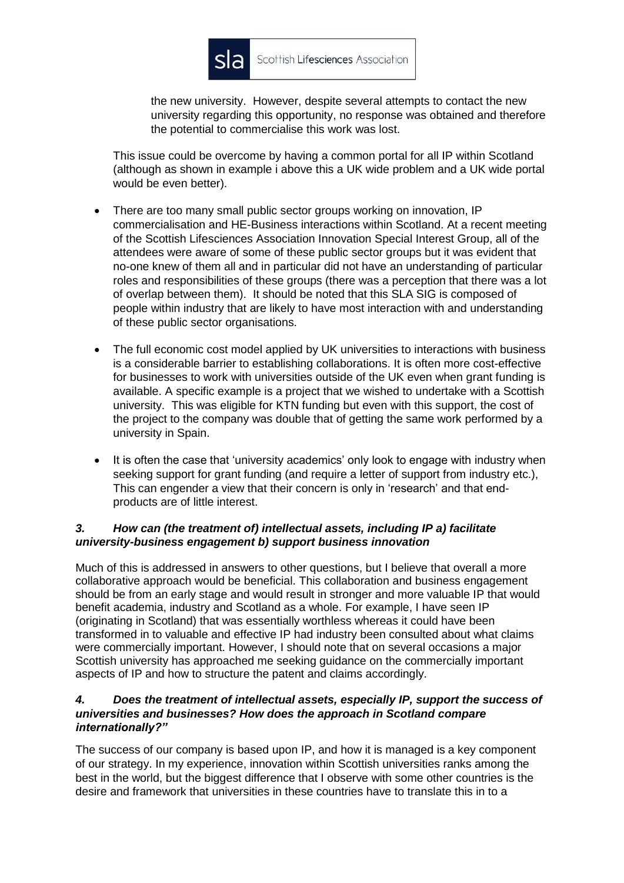

the new university. However, despite several attempts to contact the new university regarding this opportunity, no response was obtained and therefore the potential to commercialise this work was lost.

This issue could be overcome by having a common portal for all IP within Scotland (although as shown in example i above this a UK wide problem and a UK wide portal would be even better).

- There are too many small public sector groups working on innovation, IP commercialisation and HE-Business interactions within Scotland. At a recent meeting of the Scottish Lifesciences Association Innovation Special Interest Group, all of the attendees were aware of some of these public sector groups but it was evident that no-one knew of them all and in particular did not have an understanding of particular roles and responsibilities of these groups (there was a perception that there was a lot of overlap between them). It should be noted that this SLA SIG is composed of people within industry that are likely to have most interaction with and understanding of these public sector organisations.
- The full economic cost model applied by UK universities to interactions with business is a considerable barrier to establishing collaborations. It is often more cost-effective for businesses to work with universities outside of the UK even when grant funding is available. A specific example is a project that we wished to undertake with a Scottish university. This was eligible for KTN funding but even with this support, the cost of the project to the company was double that of getting the same work performed by a university in Spain.
- It is often the case that 'university academics' only look to engage with industry when seeking support for grant funding (and require a letter of support from industry etc.), This can engender a view that their concern is only in 'research' and that endproducts are of little interest.

# *3. How can (the treatment of) intellectual assets, including IP a) facilitate university-business engagement b) support business innovation*

Much of this is addressed in answers to other questions, but I believe that overall a more collaborative approach would be beneficial. This collaboration and business engagement should be from an early stage and would result in stronger and more valuable IP that would benefit academia, industry and Scotland as a whole. For example, I have seen IP (originating in Scotland) that was essentially worthless whereas it could have been transformed in to valuable and effective IP had industry been consulted about what claims were commercially important. However, I should note that on several occasions a major Scottish university has approached me seeking guidance on the commercially important aspects of IP and how to structure the patent and claims accordingly.

# *4. Does the treatment of intellectual assets, especially IP, support the success of universities and businesses? How does the approach in Scotland compare internationally?"*

The success of our company is based upon IP, and how it is managed is a key component of our strategy. In my experience, innovation within Scottish universities ranks among the best in the world, but the biggest difference that I observe with some other countries is the desire and framework that universities in these countries have to translate this in to a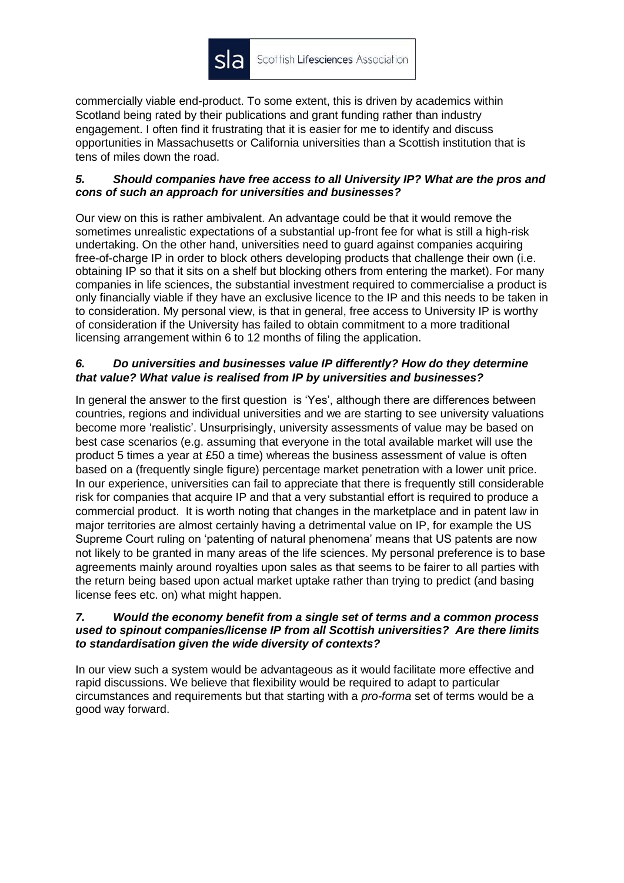

commercially viable end-product. To some extent, this is driven by academics within Scotland being rated by their publications and grant funding rather than industry engagement. I often find it frustrating that it is easier for me to identify and discuss opportunities in Massachusetts or California universities than a Scottish institution that is tens of miles down the road.

### *5. Should companies have free access to all University IP? What are the pros and cons of such an approach for universities and businesses?*

Our view on this is rather ambivalent. An advantage could be that it would remove the sometimes unrealistic expectations of a substantial up-front fee for what is still a high-risk undertaking. On the other hand, universities need to guard against companies acquiring free-of-charge IP in order to block others developing products that challenge their own (i.e. obtaining IP so that it sits on a shelf but blocking others from entering the market). For many companies in life sciences, the substantial investment required to commercialise a product is only financially viable if they have an exclusive licence to the IP and this needs to be taken in to consideration. My personal view, is that in general, free access to University IP is worthy of consideration if the University has failed to obtain commitment to a more traditional licensing arrangement within 6 to 12 months of filing the application.

# *6. Do universities and businesses value IP differently? How do they determine that value? What value is realised from IP by universities and businesses?*

In general the answer to the first question is 'Yes', although there are differences between countries, regions and individual universities and we are starting to see university valuations become more 'realistic'. Unsurprisingly, university assessments of value may be based on best case scenarios (e.g. assuming that everyone in the total available market will use the product 5 times a year at £50 a time) whereas the business assessment of value is often based on a (frequently single figure) percentage market penetration with a lower unit price. In our experience, universities can fail to appreciate that there is frequently still considerable risk for companies that acquire IP and that a very substantial effort is required to produce a commercial product. It is worth noting that changes in the marketplace and in patent law in major territories are almost certainly having a detrimental value on IP, for example the US Supreme Court ruling on 'patenting of natural phenomena' means that US patents are now not likely to be granted in many areas of the life sciences. My personal preference is to base agreements mainly around royalties upon sales as that seems to be fairer to all parties with the return being based upon actual market uptake rather than trying to predict (and basing license fees etc. on) what might happen.

#### *7. Would the economy benefit from a single set of terms and a common process used to spinout companies/license IP from all Scottish universities? Are there limits to standardisation given the wide diversity of contexts?*

In our view such a system would be advantageous as it would facilitate more effective and rapid discussions. We believe that flexibility would be required to adapt to particular circumstances and requirements but that starting with a *pro-forma* set of terms would be a good way forward.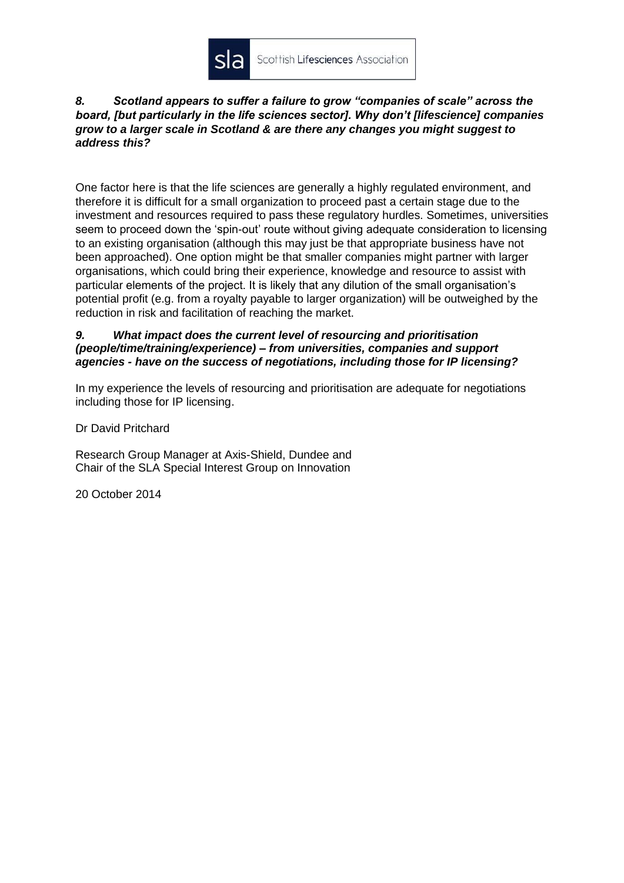

### *8. Scotland appears to suffer a failure to grow "companies of scale" across the board, [but particularly in the life sciences sector]. Why don't [lifescience] companies grow to a larger scale in Scotland & are there any changes you might suggest to address this?*

One factor here is that the life sciences are generally a highly regulated environment, and therefore it is difficult for a small organization to proceed past a certain stage due to the investment and resources required to pass these regulatory hurdles. Sometimes, universities seem to proceed down the 'spin-out' route without giving adequate consideration to licensing to an existing organisation (although this may just be that appropriate business have not been approached). One option might be that smaller companies might partner with larger organisations, which could bring their experience, knowledge and resource to assist with particular elements of the project. It is likely that any dilution of the small organisation's potential profit (e.g. from a royalty payable to larger organization) will be outweighed by the reduction in risk and facilitation of reaching the market.

#### *9. What impact does the current level of resourcing and prioritisation (people/time/training/experience) – from universities, companies and support agencies - have on the success of negotiations, including those for IP licensing?*

In my experience the levels of resourcing and prioritisation are adequate for negotiations including those for IP licensing.

Dr David Pritchard

Research Group Manager at Axis-Shield, Dundee and Chair of the SLA Special Interest Group on Innovation

20 October 2014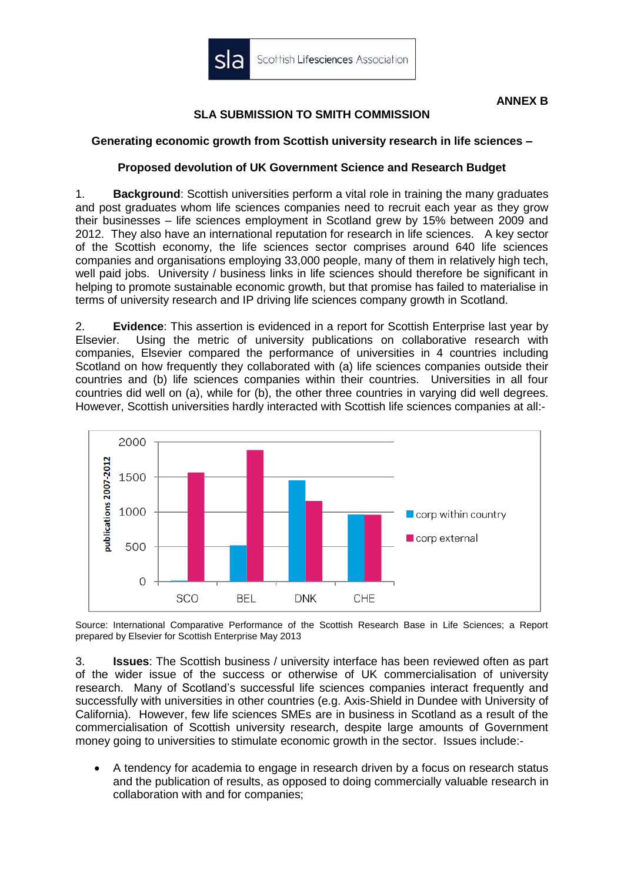

### **ANNEX B**

# **SLA SUBMISSION TO SMITH COMMISSION**

### **Generating economic growth from Scottish university research in life sciences –**

# **Proposed devolution of UK Government Science and Research Budget**

1. **Background**: Scottish universities perform a vital role in training the many graduates and post graduates whom life sciences companies need to recruit each year as they grow their businesses – life sciences employment in Scotland grew by 15% between 2009 and 2012. They also have an international reputation for research in life sciences. A key sector of the Scottish economy, the life sciences sector comprises around 640 life sciences companies and organisations employing 33,000 people, many of them in relatively high tech, well paid jobs. University / business links in life sciences should therefore be significant in helping to promote sustainable economic growth, but that promise has failed to materialise in terms of university research and IP driving life sciences company growth in Scotland.

2. **Evidence**: This assertion is evidenced in a report for Scottish Enterprise last year by Elsevier. Using the metric of university publications on collaborative research with companies, Elsevier compared the performance of universities in 4 countries including Scotland on how frequently they collaborated with (a) life sciences companies outside their countries and (b) life sciences companies within their countries. Universities in all four countries did well on (a), while for (b), the other three countries in varying did well degrees. However, Scottish universities hardly interacted with Scottish life sciences companies at all:-



Source: International Comparative Performance of the Scottish Research Base in Life Sciences; a Report prepared by Elsevier for Scottish Enterprise May 2013

3. **Issues**: The Scottish business / university interface has been reviewed often as part of the wider issue of the success or otherwise of UK commercialisation of university research. Many of Scotland's successful life sciences companies interact frequently and successfully with universities in other countries (e.g. Axis-Shield in Dundee with University of California). However, few life sciences SMEs are in business in Scotland as a result of the commercialisation of Scottish university research, despite large amounts of Government money going to universities to stimulate economic growth in the sector. Issues include:-

 A tendency for academia to engage in research driven by a focus on research status and the publication of results, as opposed to doing commercially valuable research in collaboration with and for companies;